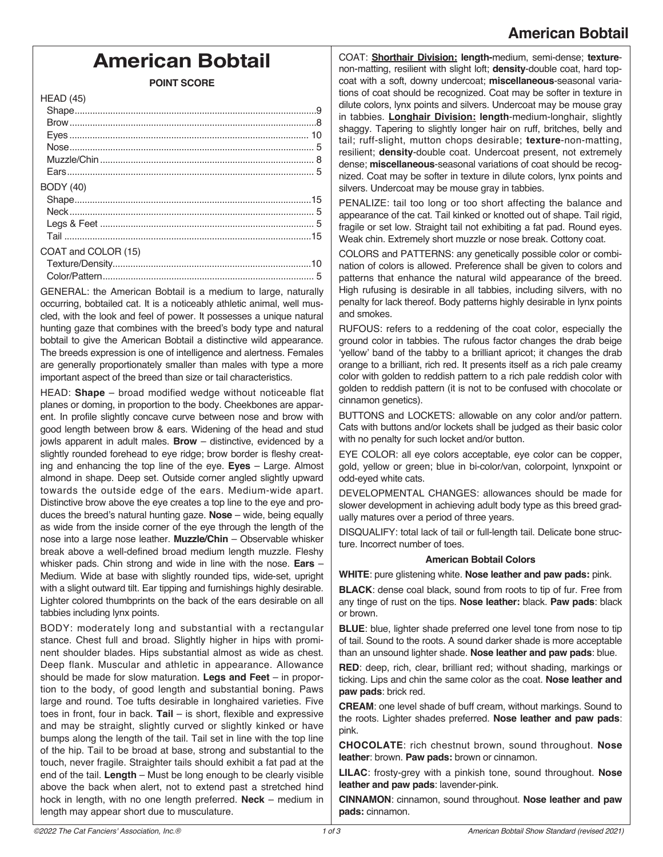## **American Bobtail**

# **American Bobtail**

**POINT SCORE** 

GENERAL: the American Bobtail is a medium to large, naturally occurring, bobtailed cat. It is a noticeably athletic animal, well muscled, with the look and feel of power. It possesses a unique natural hunting gaze that combines with the breed's body type and natural bobtail to give the American Bobtail a distinctive wild appearance. The breeds expression is one of intelligence and alertness. Females are generally proportionately smaller than males with type a more important aspect of the breed than size or tail characteristics.

HEAD: **Shape** – broad modified wedge without noticeable flat planes or doming, in proportion to the body. Cheekbones are apparent. In profile slightly concave curve between nose and brow with good length between brow & ears. Widening of the head and stud jowls apparent in adult males. **Brow** – distinctive, evidenced by a slightly rounded forehead to eye ridge; brow border is fleshy creating and enhancing the top line of the eye. **Eyes** – Large. Almost almond in shape. Deep set. Outside corner angled slightly upward towards the outside edge of the ears. Medium-wide apart. Distinctive brow above the eye creates a top line to the eye and produces the breed's natural hunting gaze. **Nose** – wide, being equally as wide from the inside corner of the eye through the length of the nose into a large nose leather. **Muzzle/Chin** – Observable whisker break above a well-defined broad medium length muzzle. Fleshy whisker pads. Chin strong and wide in line with the nose. **Ears** – Medium. Wide at base with slightly rounded tips, wide-set, upright with a slight outward tilt. Ear tipping and furnishings highly desirable. Lighter colored thumbprints on the back of the ears desirable on all tabbies including lynx points.

BODY: moderately long and substantial with a rectangular stance. Chest full and broad. Slightly higher in hips with prominent shoulder blades. Hips substantial almost as wide as chest. Deep flank. Muscular and athletic in appearance. Allowance should be made for slow maturation. **Legs and Feet** – in proportion to the body, of good length and substantial boning. Paws large and round. Toe tufts desirable in longhaired varieties. Five toes in front, four in back. **Tail** – is short, flexible and expressive and may be straight, slightly curved or slightly kinked or have bumps along the length of the tail. Tail set in line with the top line of the hip. Tail to be broad at base, strong and substantial to the touch, never fragile. Straighter tails should exhibit a fat pad at the end of the tail. **Length** – Must be long enough to be clearly visible above the back when alert, not to extend past a stretched hind hock in length, with no one length preferred. **Neck** – medium in length may appear short due to musculature.

COAT: **Shorthair Division: length-**medium, semi-dense; **texture**non-matting, resilient with slight loft; **density**-double coat, hard topcoat with a soft, downy undercoat; **miscellaneous**-seasonal variations of coat should be recognized. Coat may be softer in texture in dilute colors, lynx points and silvers. Undercoat may be mouse gray in tabbies. **Longhair Division: length**-medium-longhair, slightly shaggy. Tapering to slightly longer hair on ruff, britches, belly and tail; ruff-slight, mutton chops desirable; **texture**-non-matting, resilient; **density**-double coat. Undercoat present, not extremely dense; **miscellaneous**-seasonal variations of coat should be recognized. Coat may be softer in texture in dilute colors, lynx points and silvers. Undercoat may be mouse gray in tabbies.

PENALIZE: tail too long or too short affecting the balance and appearance of the cat. Tail kinked or knotted out of shape. Tail rigid, fragile or set low. Straight tail not exhibiting a fat pad. Round eyes. Weak chin. Extremely short muzzle or nose break. Cottony coat.

COLORS and PATTERNS: any genetically possible color or combination of colors is allowed. Preference shall be given to colors and patterns that enhance the natural wild appearance of the breed. High rufusing is desirable in all tabbies, including silvers, with no penalty for lack thereof. Body patterns highly desirable in lynx points and smokes.

RUFOUS: refers to a reddening of the coat color, especially the ground color in tabbies. The rufous factor changes the drab beige 'yellow' band of the tabby to a brilliant apricot; it changes the drab orange to a brilliant, rich red. It presents itself as a rich pale creamy color with golden to reddish pattern to a rich pale reddish color with golden to reddish pattern (it is not to be confused with chocolate or cinnamon genetics).

BUTTONS and LOCKETS: allowable on any color and/or pattern. Cats with buttons and/or lockets shall be judged as their basic color with no penalty for such locket and/or button.

EYE COLOR: all eye colors acceptable, eye color can be copper, gold, yellow or green; blue in bi-color/van, colorpoint, lynxpoint or odd-eyed white cats.

DEVELOPMENTAL CHANGES: allowances should be made for slower development in achieving adult body type as this breed gradually matures over a period of three years.

DISQUALIFY: total lack of tail or full-length tail. Delicate bone structure. Incorrect number of toes.

#### **American Bobtail Colors**

**WHITE**: pure glistening white. **Nose leather and paw pads:** pink.

**BLACK**: dense coal black, sound from roots to tip of fur. Free from any tinge of rust on the tips. **Nose leather:** black. **Paw pads**: black or brown.

**BLUE**: blue, lighter shade preferred one level tone from nose to tip of tail. Sound to the roots. A sound darker shade is more acceptable than an unsound lighter shade. **Nose leather and paw pads**: blue.

**RED**: deep, rich, clear, brilliant red; without shading, markings or ticking. Lips and chin the same color as the coat. **Nose leather and paw pads**: brick red.

**CREAM**: one level shade of buff cream, without markings. Sound to the roots. Lighter shades preferred. **Nose leather and paw pads**: pink.

**CHOCOLATE**: rich chestnut brown, sound throughout. **Nose leather**: brown. **Paw pads:** brown or cinnamon.

**LILAC**: frosty-grey with a pinkish tone, sound throughout. **Nose leather and paw pads**: lavender-pink.

**CINNAMON**: cinnamon, sound throughout. **Nose leather and paw pads:** cinnamon.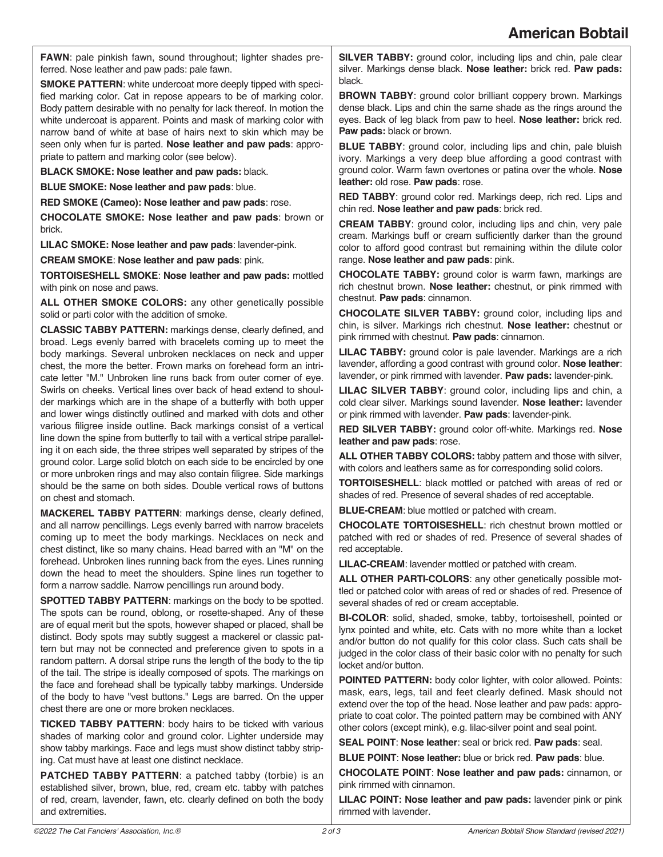**FAWN**: pale pinkish fawn, sound throughout; lighter shades preferred. Nose leather and paw pads: pale fawn.

**SMOKE PATTERN**: white undercoat more deeply tipped with specified marking color. Cat in repose appears to be of marking color. Body pattern desirable with no penalty for lack thereof. In motion the white undercoat is apparent. Points and mask of marking color with narrow band of white at base of hairs next to skin which may be seen only when fur is parted. **Nose leather and paw pads**: appropriate to pattern and marking color (see below).

**BLACK SMOKE: Nose leather and paw pads:** black.

**BLUE SMOKE: Nose leather and paw pads**: blue.

**RED SMOKE (Cameo): Nose leather and paw pads**: rose.

**CHOCOLATE SMOKE: Nose leather and paw pads**: brown or brick.

**LILAC SMOKE: Nose leather and paw pads**: lavender-pink.

**CREAM SMOKE**: **Nose leather and paw pads**: pink.

**TORTOISESHELL SMOKE**: **Nose leather and paw pads:** mottled with pink on nose and paws.

**ALL OTHER SMOKE COLORS:** any other genetically possible solid or parti color with the addition of smoke.

**CLASSIC TABBY PATTERN:** markings dense, clearly defined, and broad. Legs evenly barred with bracelets coming up to meet the body markings. Several unbroken necklaces on neck and upper chest, the more the better. Frown marks on forehead form an intricate letter "M." Unbroken line runs back from outer corner of eye. Swirls on cheeks. Vertical lines over back of head extend to shoulder markings which are in the shape of a butterfly with both upper and lower wings distinctly outlined and marked with dots and other various filigree inside outline. Back markings consist of a vertical line down the spine from butterfly to tail with a vertical stripe paralleling it on each side, the three stripes well separated by stripes of the ground color. Large solid blotch on each side to be encircled by one or more unbroken rings and may also contain filigree. Side markings should be the same on both sides. Double vertical rows of buttons on chest and stomach.

**MACKEREL TABBY PATTERN**: markings dense, clearly defined, and all narrow pencillings. Legs evenly barred with narrow bracelets coming up to meet the body markings. Necklaces on neck and chest distinct, like so many chains. Head barred with an "M" on the forehead. Unbroken lines running back from the eyes. Lines running down the head to meet the shoulders. Spine lines run together to form a narrow saddle. Narrow pencillings run around body.

**SPOTTED TABBY PATTERN**: markings on the body to be spotted. The spots can be round, oblong, or rosette-shaped. Any of these are of equal merit but the spots, however shaped or placed, shall be distinct. Body spots may subtly suggest a mackerel or classic pattern but may not be connected and preference given to spots in a random pattern. A dorsal stripe runs the length of the body to the tip of the tail. The stripe is ideally composed of spots. The markings on the face and forehead shall be typically tabby markings. Underside of the body to have "vest buttons." Legs are barred. On the upper chest there are one or more broken necklaces.

**TICKED TABBY PATTERN**: body hairs to be ticked with various shades of marking color and ground color. Lighter underside may show tabby markings. Face and legs must show distinct tabby striping. Cat must have at least one distinct necklace.

**PATCHED TABBY PATTERN**: a patched tabby (torbie) is an established silver, brown, blue, red, cream etc. tabby with patches of red, cream, lavender, fawn, etc. clearly defined on both the body and extremities.

**SILVER TABBY:** ground color, including lips and chin, pale clear silver. Markings dense black. **Nose leather:** brick red. **Paw pads:** black.

**BROWN TABBY**: ground color brilliant coppery brown. Markings dense black. Lips and chin the same shade as the rings around the eyes. Back of leg black from paw to heel. **Nose leather:** brick red. **Paw pads:** black or brown.

**BLUE TABBY**: ground color, including lips and chin, pale bluish ivory. Markings a very deep blue affording a good contrast with ground color. Warm fawn overtones or patina over the whole. **Nose leather:** old rose. **Paw pads**: rose.

**RED TABBY**: ground color red. Markings deep, rich red. Lips and chin red. **Nose leather and paw pads**: brick red.

**CREAM TABBY**: ground color, including lips and chin, very pale cream. Markings buff or cream sufficiently darker than the ground color to afford good contrast but remaining within the dilute color range. **Nose leather and paw pads**: pink.

**CHOCOLATE TABBY:** ground color is warm fawn, markings are rich chestnut brown. **Nose leather:** chestnut, or pink rimmed with chestnut. **Paw pads**: cinnamon.

**CHOCOLATE SILVER TABBY:** ground color, including lips and chin, is silver. Markings rich chestnut. **Nose leather:** chestnut or pink rimmed with chestnut. **Paw pads**: cinnamon.

**LILAC TABBY:** ground color is pale lavender. Markings are a rich lavender, affording a good contrast with ground color. **Nose leather**: lavender, or pink rimmed with lavender. **Paw pads:** lavender-pink.

**LILAC SILVER TABBY**: ground color, including lips and chin, a cold clear silver. Markings sound lavender. **Nose leather:** lavender or pink rimmed with lavender. **Paw pads**: lavender-pink.

**RED SILVER TABBY:** ground color off-white. Markings red. **Nose leather and paw pads**: rose.

**ALL OTHER TABBY COLORS:** tabby pattern and those with silver, with colors and leathers same as for corresponding solid colors.

**TORTOISESHELL**: black mottled or patched with areas of red or shades of red. Presence of several shades of red acceptable.

**BLUE-CREAM**: blue mottled or patched with cream.

**CHOCOLATE TORTOISESHELL**: rich chestnut brown mottled or patched with red or shades of red. Presence of several shades of red acceptable.

**LILAC-CREAM**: lavender mottled or patched with cream.

**ALL OTHER PARTI-COLORS**: any other genetically possible mottled or patched color with areas of red or shades of red. Presence of several shades of red or cream acceptable.

**BI-COLOR**: solid, shaded, smoke, tabby, tortoiseshell, pointed or lynx pointed and white, etc. Cats with no more white than a locket and/or button do not qualify for this color class. Such cats shall be judged in the color class of their basic color with no penalty for such locket and/or button.

**POINTED PATTERN:** body color lighter, with color allowed. Points: mask, ears, legs, tail and feet clearly defined. Mask should not extend over the top of the head. Nose leather and paw pads: appropriate to coat color. The pointed pattern may be combined with ANY other colors (except mink), e.g. lilac-silver point and seal point.

**SEAL POINT**: **Nose leather**: seal or brick red. **Paw pads**: seal.

**BLUE POINT**: **Nose leather:** blue or brick red. **Paw pads**: blue.

**CHOCOLATE POINT**: **Nose leather and paw pads:** cinnamon, or pink rimmed with cinnamon.

**LILAC POINT: Nose leather and paw pads:** lavender pink or pink rimmed with lavender.